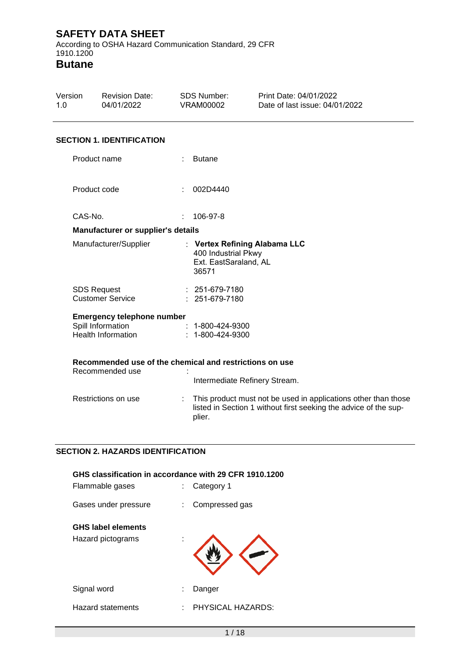According to OSHA Hazard Communication Standard, 29 CFR 1910.1200

**Butane**

| Version<br>1.0 | <b>Revision Date:</b><br>04/01/2022                                                 | <b>SDS Number:</b><br><b>VRAM00002</b>                | Print Date: 04/01/2022<br>Date of last issue: 04/01/2022                                                                           |
|----------------|-------------------------------------------------------------------------------------|-------------------------------------------------------|------------------------------------------------------------------------------------------------------------------------------------|
|                | <b>SECTION 1. IDENTIFICATION</b>                                                    |                                                       |                                                                                                                                    |
|                | Product name                                                                        | <b>Butane</b>                                         |                                                                                                                                    |
|                | Product code                                                                        | 002D4440                                              |                                                                                                                                    |
|                | CAS-No.                                                                             | 106-97-8<br>÷                                         |                                                                                                                                    |
|                | Manufacturer or supplier's details                                                  |                                                       |                                                                                                                                    |
|                | Manufacturer/Supplier                                                               | 400 Industrial Pkwy<br>Ext. EastSaraland, AL<br>36571 | : Vertex Refining Alabama LLC                                                                                                      |
|                | <b>SDS Request</b><br><b>Customer Service</b>                                       | $: 251-679-7180$<br>251-679-7180                      |                                                                                                                                    |
|                | <b>Emergency telephone number</b><br>Spill Information<br><b>Health Information</b> | $: 1 - 800 - 424 - 9300$<br>: 1-800-424-9300          |                                                                                                                                    |
|                | Recommended use of the chemical and restrictions on use<br>Recommended use          |                                                       | Intermediate Refinery Stream.                                                                                                      |
|                | Restrictions on use                                                                 | plier.                                                | This product must not be used in applications other than those<br>listed in Section 1 without first seeking the advice of the sup- |

### **SECTION 2. HAZARDS IDENTIFICATION**

| GHS classification in accordance with 29 CFR 1910.1200<br>Flammable gases |   | Category 1        |
|---------------------------------------------------------------------------|---|-------------------|
| Gases under pressure                                                      | ÷ | Compressed gas    |
| <b>GHS label elements</b>                                                 |   |                   |
| Hazard pictograms                                                         |   |                   |
| Signal word                                                               | t | Danger            |
| <b>Hazard statements</b>                                                  | t | PHYSICAL HAZARDS: |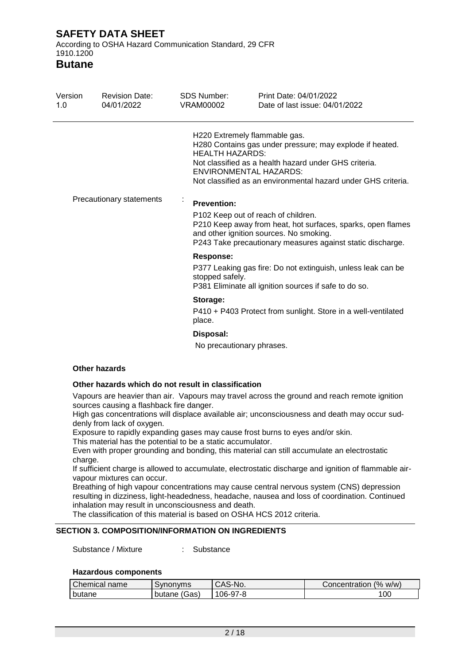According to OSHA Hazard Communication Standard, 29 CFR 1910.1200

**Butane**

| Version<br><b>Revision Date:</b><br>04/01/2022<br>1.0 |  | SDS Number:<br>VRAM00002            | Print Date: 04/01/2022<br>Date of last issue: 04/01/2022                                                                                                                                                                                             |  |  |
|-------------------------------------------------------|--|-------------------------------------|------------------------------------------------------------------------------------------------------------------------------------------------------------------------------------------------------------------------------------------------------|--|--|
|                                                       |  | <b>HEALTH HAZARDS:</b>              | H220 Extremely flammable gas.<br>H280 Contains gas under pressure; may explode if heated.<br>Not classified as a health hazard under GHS criteria.<br><b>ENVIRONMENTAL HAZARDS:</b><br>Not classified as an environmental hazard under GHS criteria. |  |  |
| Precautionary statements                              |  | $\bullet$<br><b>Prevention:</b>     | P102 Keep out of reach of children.<br>P210 Keep away from heat, hot surfaces, sparks, open flames<br>and other ignition sources. No smoking.<br>P243 Take precautionary measures against static discharge.                                          |  |  |
|                                                       |  | <b>Response:</b><br>stopped safely. | P377 Leaking gas fire: Do not extinguish, unless leak can be<br>P381 Eliminate all ignition sources if safe to do so.                                                                                                                                |  |  |
|                                                       |  | Storage:<br>place.                  | P410 + P403 Protect from sunlight. Store in a well-ventilated                                                                                                                                                                                        |  |  |
|                                                       |  | Disposal:                           |                                                                                                                                                                                                                                                      |  |  |

No precautionary phrases.

### **Other hazards**

### **Other hazards which do not result in classification**

Vapours are heavier than air. Vapours may travel across the ground and reach remote ignition sources causing a flashback fire danger.

High gas concentrations will displace available air; unconsciousness and death may occur suddenly from lack of oxygen.

Exposure to rapidly expanding gases may cause frost burns to eyes and/or skin.

This material has the potential to be a static accumulator.

Even with proper grounding and bonding, this material can still accumulate an electrostatic charge.

If sufficient charge is allowed to accumulate, electrostatic discharge and ignition of flammable airvapour mixtures can occur.

Breathing of high vapour concentrations may cause central nervous system (CNS) depression resulting in dizziness, light-headedness, headache, nausea and loss of coordination. Continued inhalation may result in unconsciousness and death.

The classification of this material is based on OSHA HCS 2012 criteria.

### **SECTION 3. COMPOSITION/INFORMATION ON INGREDIENTS**

Substance / Mixture : Substance

### **Hazardous components**

| Chemical<br>name | Synonyms        | CAS-No. | (% w/w)<br>Concentration |
|------------------|-----------------|---------|--------------------------|
| butane           | (Gas)<br>butane | 06-97-8 | 00                       |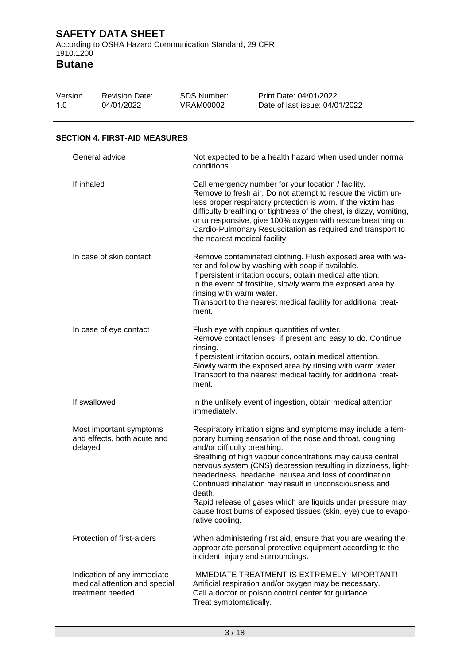**SAFETY DATA SHEET** According to OSHA Hazard Communication Standard, 29 CFR 1910.1200

| Version<br>1.0          | <b>Revision Date:</b><br>04/01/2022                                              |  | <b>SDS Number:</b><br><b>VRAM00002</b>                                                                                                                                                                                                                                                                                                                                                                                    | Print Date: 04/01/2022<br>Date of last issue: 04/01/2022                                                                                                                                                                                                                                                                                                                                                                                                                                                       |  |  |  |
|-------------------------|----------------------------------------------------------------------------------|--|---------------------------------------------------------------------------------------------------------------------------------------------------------------------------------------------------------------------------------------------------------------------------------------------------------------------------------------------------------------------------------------------------------------------------|----------------------------------------------------------------------------------------------------------------------------------------------------------------------------------------------------------------------------------------------------------------------------------------------------------------------------------------------------------------------------------------------------------------------------------------------------------------------------------------------------------------|--|--|--|
|                         | <b>SECTION 4. FIRST-AID MEASURES</b>                                             |  |                                                                                                                                                                                                                                                                                                                                                                                                                           |                                                                                                                                                                                                                                                                                                                                                                                                                                                                                                                |  |  |  |
|                         |                                                                                  |  |                                                                                                                                                                                                                                                                                                                                                                                                                           |                                                                                                                                                                                                                                                                                                                                                                                                                                                                                                                |  |  |  |
|                         | General advice                                                                   |  | conditions.                                                                                                                                                                                                                                                                                                                                                                                                               | Not expected to be a health hazard when used under normal                                                                                                                                                                                                                                                                                                                                                                                                                                                      |  |  |  |
| If inhaled              |                                                                                  |  | Call emergency number for your location / facility.<br>Remove to fresh air. Do not attempt to rescue the victim un-<br>less proper respiratory protection is worn. If the victim has<br>difficulty breathing or tightness of the chest, is dizzy, vomiting,<br>or unresponsive, give 100% oxygen with rescue breathing or<br>Cardio-Pulmonary Resuscitation as required and transport to<br>the nearest medical facility. |                                                                                                                                                                                                                                                                                                                                                                                                                                                                                                                |  |  |  |
| In case of skin contact |                                                                                  |  | Remove contaminated clothing. Flush exposed area with wa-<br>ter and follow by washing with soap if available.<br>If persistent irritation occurs, obtain medical attention.<br>In the event of frostbite, slowly warm the exposed area by<br>rinsing with warm water.<br>Transport to the nearest medical facility for additional treat-<br>ment.                                                                        |                                                                                                                                                                                                                                                                                                                                                                                                                                                                                                                |  |  |  |
| In case of eye contact  |                                                                                  |  | Flush eye with copious quantities of water.<br>Remove contact lenses, if present and easy to do. Continue<br>rinsing.<br>If persistent irritation occurs, obtain medical attention.<br>Slowly warm the exposed area by rinsing with warm water.<br>Transport to the nearest medical facility for additional treat-<br>ment.                                                                                               |                                                                                                                                                                                                                                                                                                                                                                                                                                                                                                                |  |  |  |
|                         | If swallowed                                                                     |  | immediately.                                                                                                                                                                                                                                                                                                                                                                                                              | In the unlikely event of ingestion, obtain medical attention                                                                                                                                                                                                                                                                                                                                                                                                                                                   |  |  |  |
|                         | Most important symptoms<br>and effects, both acute and<br>delayed                |  | and/or difficulty breathing.<br>death.<br>rative cooling.                                                                                                                                                                                                                                                                                                                                                                 | Respiratory irritation signs and symptoms may include a tem-<br>porary burning sensation of the nose and throat, coughing,<br>Breathing of high vapour concentrations may cause central<br>nervous system (CNS) depression resulting in dizziness, light-<br>headedness, headache, nausea and loss of coordination.<br>Continued inhalation may result in unconsciousness and<br>Rapid release of gases which are liquids under pressure may<br>cause frost burns of exposed tissues (skin, eye) due to evapo- |  |  |  |
|                         | Protection of first-aiders                                                       |  | incident, injury and surroundings.                                                                                                                                                                                                                                                                                                                                                                                        | When administering first aid, ensure that you are wearing the<br>appropriate personal protective equipment according to the                                                                                                                                                                                                                                                                                                                                                                                    |  |  |  |
|                         | Indication of any immediate<br>medical attention and special<br>treatment needed |  | Treat symptomatically.                                                                                                                                                                                                                                                                                                                                                                                                    | <b>IMMEDIATE TREATMENT IS EXTREMELY IMPORTANT!</b><br>Artificial respiration and/or oxygen may be necessary.<br>Call a doctor or poison control center for guidance.                                                                                                                                                                                                                                                                                                                                           |  |  |  |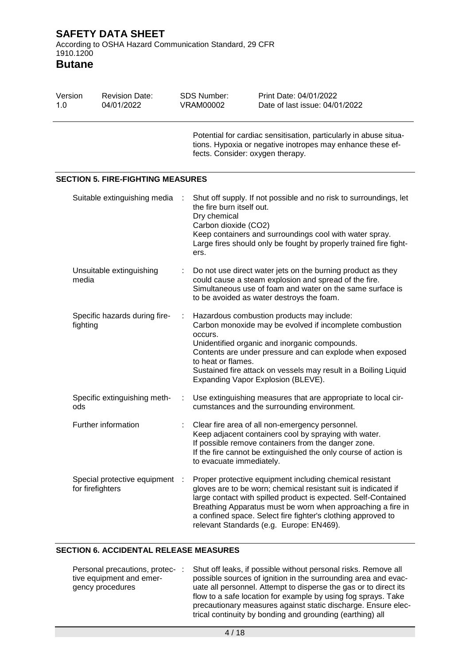According to OSHA Hazard Communication Standard, 29 CFR 1910.1200

**Butane**

| Version<br>1.0 |                                          | <b>Revision Date:</b><br>04/01/2022 |   | <b>SDS Number:</b><br><b>VRAM00002</b>                                    | Print Date: 04/01/2022<br>Date of last issue: 04/01/2022                                                                                                                                                                                                                                                                                                                |  |  |  |  |
|----------------|------------------------------------------|-------------------------------------|---|---------------------------------------------------------------------------|-------------------------------------------------------------------------------------------------------------------------------------------------------------------------------------------------------------------------------------------------------------------------------------------------------------------------------------------------------------------------|--|--|--|--|
|                |                                          |                                     |   | fects. Consider: oxygen therapy.                                          | Potential for cardiac sensitisation, particularly in abuse situa-<br>tions. Hypoxia or negative inotropes may enhance these ef-                                                                                                                                                                                                                                         |  |  |  |  |
|                | <b>SECTION 5. FIRE-FIGHTING MEASURES</b> |                                     |   |                                                                           |                                                                                                                                                                                                                                                                                                                                                                         |  |  |  |  |
|                |                                          | Suitable extinguishing media        |   | the fire burn itself out.<br>Dry chemical<br>Carbon dioxide (CO2)<br>ers. | Shut off supply. If not possible and no risk to surroundings, let<br>Keep containers and surroundings cool with water spray.<br>Large fires should only be fought by properly trained fire fight-                                                                                                                                                                       |  |  |  |  |
|                | media                                    | Unsuitable extinguishing            |   |                                                                           | Do not use direct water jets on the burning product as they<br>could cause a steam explosion and spread of the fire.<br>Simultaneous use of foam and water on the same surface is<br>to be avoided as water destroys the foam.                                                                                                                                          |  |  |  |  |
|                | fighting                                 | Specific hazards during fire-       |   | occurs.<br>to heat or flames.                                             | Hazardous combustion products may include:<br>Carbon monoxide may be evolved if incomplete combustion<br>Unidentified organic and inorganic compounds.<br>Contents are under pressure and can explode when exposed<br>Sustained fire attack on vessels may result in a Boiling Liquid<br>Expanding Vapor Explosion (BLEVE).                                             |  |  |  |  |
|                | ods                                      | Specific extinguishing meth-        | ÷ |                                                                           | Use extinguishing measures that are appropriate to local cir-<br>cumstances and the surrounding environment.                                                                                                                                                                                                                                                            |  |  |  |  |
|                |                                          | Further information                 |   | to evacuate immediately.                                                  | Clear fire area of all non-emergency personnel.<br>Keep adjacent containers cool by spraying with water.<br>If possible remove containers from the danger zone.<br>If the fire cannot be extinguished the only course of action is                                                                                                                                      |  |  |  |  |
|                | for firefighters                         | Special protective equipment :      |   |                                                                           | Proper protective equipment including chemical resistant<br>gloves are to be worn; chemical resistant suit is indicated if<br>large contact with spilled product is expected. Self-Contained<br>Breathing Apparatus must be worn when approaching a fire in<br>a confined space. Select fire fighter's clothing approved to<br>relevant Standards (e.g. Europe: EN469). |  |  |  |  |

### **SECTION 6. ACCIDENTAL RELEASE MEASURES**

| Personal precautions, protec-: | Shut off leaks, if possible without personal risks. Remove all   |
|--------------------------------|------------------------------------------------------------------|
| tive equipment and emer-       | possible sources of ignition in the surrounding area and evac-   |
| gency procedures               | uate all personnel. Attempt to disperse the gas or to direct its |
|                                | flow to a safe location for example by using fog sprays. Take    |
|                                | precautionary measures against static discharge. Ensure elec-    |
|                                | trical continuity by bonding and grounding (earthing) all        |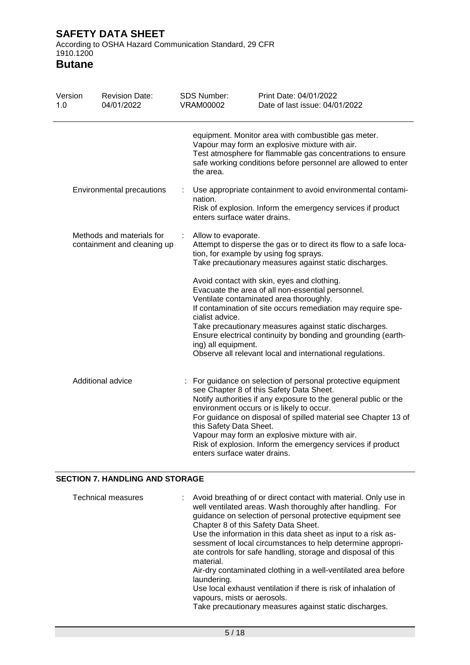According to OSHA Hazard Communication Standard, 29 CFR 1910.1200

**Butane**

| Version<br>1.0 | <b>Revision Date:</b><br>04/01/2022                      |   | SDS Number:<br><b>VRAM00002</b>                         | Print Date: 04/01/2022<br>Date of last issue: 04/01/2022                                                                                                                                                                                                                                                                                                                                                    |
|----------------|----------------------------------------------------------|---|---------------------------------------------------------|-------------------------------------------------------------------------------------------------------------------------------------------------------------------------------------------------------------------------------------------------------------------------------------------------------------------------------------------------------------------------------------------------------------|
|                |                                                          |   | the area.                                               | equipment. Monitor area with combustible gas meter.<br>Vapour may form an explosive mixture with air.<br>Test atmosphere for flammable gas concentrations to ensure<br>safe working conditions before personnel are allowed to enter                                                                                                                                                                        |
|                | Environmental precautions                                | ÷ | nation.<br>enters surface water drains.                 | Use appropriate containment to avoid environmental contami-<br>Risk of explosion. Inform the emergency services if product                                                                                                                                                                                                                                                                                  |
|                | Methods and materials for<br>containment and cleaning up |   | Allow to evaporate.                                     | Attempt to disperse the gas or to direct its flow to a safe loca-<br>tion, for example by using fog sprays.<br>Take precautionary measures against static discharges.                                                                                                                                                                                                                                       |
|                |                                                          |   | cialist advice.<br>ing) all equipment.                  | Avoid contact with skin, eyes and clothing.<br>Evacuate the area of all non-essential personnel.<br>Ventilate contaminated area thoroughly.<br>If contamination of site occurs remediation may require spe-<br>Take precautionary measures against static discharges.<br>Ensure electrical continuity by bonding and grounding (earth-<br>Observe all relevant local and international regulations.         |
|                | Additional advice                                        |   | this Safety Data Sheet.<br>enters surface water drains. | : For guidance on selection of personal protective equipment<br>see Chapter 8 of this Safety Data Sheet.<br>Notify authorities if any exposure to the general public or the<br>environment occurs or is likely to occur.<br>For guidance on disposal of spilled material see Chapter 13 of<br>Vapour may form an explosive mixture with air.<br>Risk of explosion. Inform the emergency services if product |

### **SECTION 7. HANDLING AND STORAGE**

| <b>Technical measures</b> | : Avoid breathing of or direct contact with material. Only use in<br>well ventilated areas. Wash thoroughly after handling. For<br>guidance on selection of personal protective equipment see<br>Chapter 8 of this Safety Data Sheet.<br>Use the information in this data sheet as input to a risk as-<br>sessment of local circumstances to help determine appropri- |
|---------------------------|-----------------------------------------------------------------------------------------------------------------------------------------------------------------------------------------------------------------------------------------------------------------------------------------------------------------------------------------------------------------------|
|                           | ate controls for safe handling, storage and disposal of this<br>material.                                                                                                                                                                                                                                                                                             |
|                           | Air-dry contaminated clothing in a well-ventilated area before<br>laundering.                                                                                                                                                                                                                                                                                         |
|                           | Use local exhaust ventilation if there is risk of inhalation of<br>vapours, mists or aerosols.                                                                                                                                                                                                                                                                        |
|                           | Take precautionary measures against static discharges.                                                                                                                                                                                                                                                                                                                |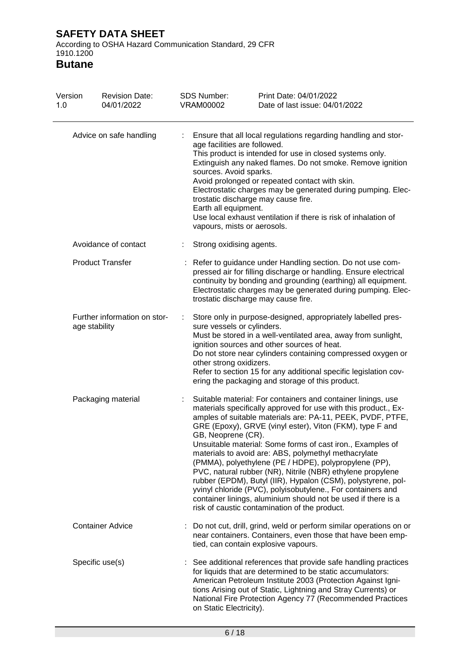According to OSHA Hazard Communication Standard, 29 CFR 1910.1200

| Version<br>1.0 | <b>Revision Date:</b><br>04/01/2022           | <b>SDS Number:</b><br><b>VRAM00002</b>                                                                        | Print Date: 04/01/2022<br>Date of last issue: 04/01/2022                                                                                                                                                                                                                                                                                                                                                                                                                                                                                                                                                                                                                                                                                                |
|----------------|-----------------------------------------------|---------------------------------------------------------------------------------------------------------------|---------------------------------------------------------------------------------------------------------------------------------------------------------------------------------------------------------------------------------------------------------------------------------------------------------------------------------------------------------------------------------------------------------------------------------------------------------------------------------------------------------------------------------------------------------------------------------------------------------------------------------------------------------------------------------------------------------------------------------------------------------|
|                | Advice on safe handling                       | age facilities are followed.<br>sources. Avoid sparks.<br>Earth all equipment.<br>vapours, mists or aerosols. | Ensure that all local regulations regarding handling and stor-<br>This product is intended for use in closed systems only.<br>Extinguish any naked flames. Do not smoke. Remove ignition<br>Avoid prolonged or repeated contact with skin.<br>Electrostatic charges may be generated during pumping. Elec-<br>trostatic discharge may cause fire.<br>Use local exhaust ventilation if there is risk of inhalation of                                                                                                                                                                                                                                                                                                                                    |
|                | Avoidance of contact                          | Strong oxidising agents.                                                                                      |                                                                                                                                                                                                                                                                                                                                                                                                                                                                                                                                                                                                                                                                                                                                                         |
|                | <b>Product Transfer</b>                       |                                                                                                               | Refer to guidance under Handling section. Do not use com-<br>pressed air for filling discharge or handling. Ensure electrical<br>continuity by bonding and grounding (earthing) all equipment.<br>Electrostatic charges may be generated during pumping. Elec-<br>trostatic discharge may cause fire.                                                                                                                                                                                                                                                                                                                                                                                                                                                   |
|                | Further information on stor-<br>age stability | sure vessels or cylinders.<br>other strong oxidizers.                                                         | Store only in purpose-designed, appropriately labelled pres-<br>Must be stored in a well-ventilated area, away from sunlight,<br>ignition sources and other sources of heat.<br>Do not store near cylinders containing compressed oxygen or<br>Refer to section 15 for any additional specific legislation cov-<br>ering the packaging and storage of this product.                                                                                                                                                                                                                                                                                                                                                                                     |
|                | Packaging material                            | GB, Neoprene (CR).                                                                                            | Suitable material: For containers and container linings, use<br>materials specifically approved for use with this product., Ex-<br>amples of suitable materials are: PA-11, PEEK, PVDF, PTFE,<br>GRE (Epoxy), GRVE (vinyl ester), Viton (FKM), type F and<br>Unsuitable material: Some forms of cast iron., Examples of<br>materials to avoid are: ABS, polymethyl methacrylate<br>(PMMA), polyethylene (PE / HDPE), polypropylene (PP),<br>PVC, natural rubber (NR), Nitrile (NBR) ethylene propylene<br>rubber (EPDM), Butyl (IIR), Hypalon (CSM), polystyrene, pol-<br>yvinyl chloride (PVC), polyisobutylene., For containers and<br>container linings, aluminium should not be used if there is a<br>risk of caustic contamination of the product. |
|                | <b>Container Advice</b>                       |                                                                                                               | Do not cut, drill, grind, weld or perform similar operations on or<br>near containers. Containers, even those that have been emp-<br>tied, can contain explosive vapours.                                                                                                                                                                                                                                                                                                                                                                                                                                                                                                                                                                               |
|                | Specific use(s)                               | on Static Electricity).                                                                                       | See additional references that provide safe handling practices<br>for liquids that are determined to be static accumulators:<br>American Petroleum Institute 2003 (Protection Against Igni-<br>tions Arising out of Static, Lightning and Stray Currents) or<br>National Fire Protection Agency 77 (Recommended Practices                                                                                                                                                                                                                                                                                                                                                                                                                               |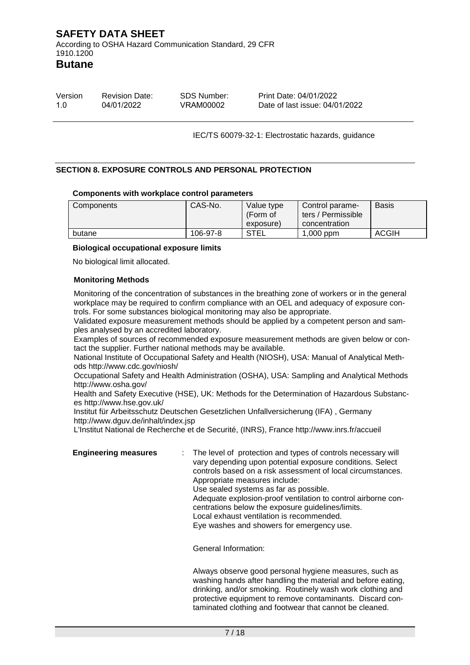According to OSHA Hazard Communication Standard, 29 CFR 1910.1200

**Butane**

| Version | <b>Revision Date:</b> | SDS Number: | Print Date: 04/01/2022         |
|---------|-----------------------|-------------|--------------------------------|
| 1.0     | 04/01/2022            | VRAM00002   | Date of last issue: 04/01/2022 |

IEC/TS 60079-32-1: Electrostatic hazards, guidance

### **SECTION 8. EXPOSURE CONTROLS AND PERSONAL PROTECTION**

### **Components with workplace control parameters**

| Components | CAS-No.  | Value type<br>(Form of<br>exposure) | Control parame-<br>ters / Permissible<br>concentration | <b>Basis</b> |
|------------|----------|-------------------------------------|--------------------------------------------------------|--------------|
| butane     | 106-97-8 | <b>STEL</b>                         | $1,000$ ppm                                            | <b>ACGIH</b> |

### **Biological occupational exposure limits**

No biological limit allocated.

### **Monitoring Methods**

Monitoring of the concentration of substances in the breathing zone of workers or in the general workplace may be required to confirm compliance with an OEL and adequacy of exposure controls. For some substances biological monitoring may also be appropriate.

Validated exposure measurement methods should be applied by a competent person and samples analysed by an accredited laboratory.

Examples of sources of recommended exposure measurement methods are given below or contact the supplier. Further national methods may be available.

National Institute of Occupational Safety and Health (NIOSH), USA: Manual of Analytical Methods http://www.cdc.gov/niosh/

Occupational Safety and Health Administration (OSHA), USA: Sampling and Analytical Methods http://www.osha.gov/

Health and Safety Executive (HSE), UK: Methods for the Determination of Hazardous Substances http://www.hse.gov.uk/

Institut für Arbeitsschutz Deutschen Gesetzlichen Unfallversicherung (IFA) , Germany http://www.dguv.de/inhalt/index.jsp

L'Institut National de Recherche et de Securité, (INRS), France http://www.inrs.fr/accueil

**Engineering measures** : The level of protection and types of controls necessary will vary depending upon potential exposure conditions. Select controls based on a risk assessment of local circumstances. Appropriate measures include: Use sealed systems as far as possible. Adequate explosion-proof ventilation to control airborne concentrations below the exposure guidelines/limits. Local exhaust ventilation is recommended. Eye washes and showers for emergency use.

General Information:

Always observe good personal hygiene measures, such as washing hands after handling the material and before eating, drinking, and/or smoking. Routinely wash work clothing and protective equipment to remove contaminants. Discard contaminated clothing and footwear that cannot be cleaned.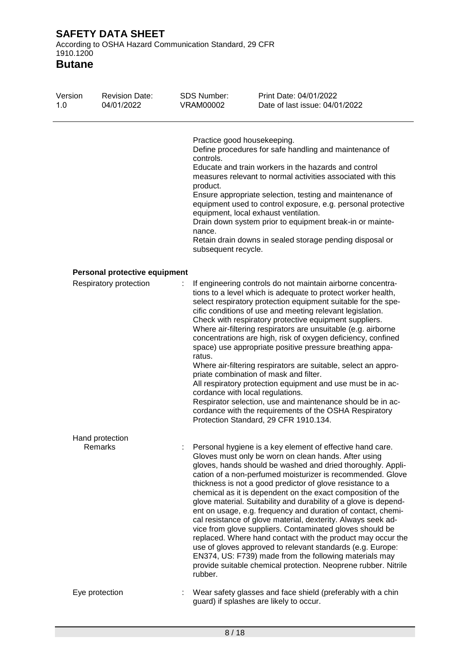According to OSHA Hazard Communication Standard, 29 CFR 1910.1200

| Version<br>1.0 | <b>Revision Date:</b><br>04/01/2022 | <b>SDS Number:</b><br><b>VRAM00002</b>                 | Print Date: 04/01/2022<br>Date of last issue: 04/01/2022                                                                                                                                                                                                                                                                                                                                                                                                                                                                                                                                                                                                                                                                                                                                                                                                                                             |
|----------------|-------------------------------------|--------------------------------------------------------|------------------------------------------------------------------------------------------------------------------------------------------------------------------------------------------------------------------------------------------------------------------------------------------------------------------------------------------------------------------------------------------------------------------------------------------------------------------------------------------------------------------------------------------------------------------------------------------------------------------------------------------------------------------------------------------------------------------------------------------------------------------------------------------------------------------------------------------------------------------------------------------------------|
|                |                                     | controls.<br>product.<br>nance.<br>subsequent recycle. | Practice good housekeeping.<br>Define procedures for safe handling and maintenance of<br>Educate and train workers in the hazards and control<br>measures relevant to normal activities associated with this<br>Ensure appropriate selection, testing and maintenance of<br>equipment used to control exposure, e.g. personal protective<br>equipment, local exhaust ventilation.<br>Drain down system prior to equipment break-in or mainte-<br>Retain drain downs in sealed storage pending disposal or                                                                                                                                                                                                                                                                                                                                                                                            |
|                | Personal protective equipment       |                                                        |                                                                                                                                                                                                                                                                                                                                                                                                                                                                                                                                                                                                                                                                                                                                                                                                                                                                                                      |
|                | Respiratory protection              | ratus.                                                 | If engineering controls do not maintain airborne concentra-<br>tions to a level which is adequate to protect worker health,<br>select respiratory protection equipment suitable for the spe-<br>cific conditions of use and meeting relevant legislation.<br>Check with respiratory protective equipment suppliers.<br>Where air-filtering respirators are unsuitable (e.g. airborne<br>concentrations are high, risk of oxygen deficiency, confined<br>space) use appropriate positive pressure breathing appa-<br>Where air-filtering respirators are suitable, select an appro-<br>priate combination of mask and filter.<br>All respiratory protection equipment and use must be in ac-<br>cordance with local regulations.<br>Respirator selection, use and maintenance should be in ac-<br>cordance with the requirements of the OSHA Respiratory<br>Protection Standard, 29 CFR 1910.134.     |
|                | Hand protection<br>Remarks          | rubber.                                                | Personal hygiene is a key element of effective hand care.<br>Gloves must only be worn on clean hands. After using<br>gloves, hands should be washed and dried thoroughly. Appli-<br>cation of a non-perfumed moisturizer is recommended. Glove<br>thickness is not a good predictor of glove resistance to a<br>chemical as it is dependent on the exact composition of the<br>glove material. Suitability and durability of a glove is depend-<br>ent on usage, e.g. frequency and duration of contact, chemi-<br>cal resistance of glove material, dexterity. Always seek ad-<br>vice from glove suppliers. Contaminated gloves should be<br>replaced. Where hand contact with the product may occur the<br>use of gloves approved to relevant standards (e.g. Europe:<br>EN374, US: F739) made from the following materials may<br>provide suitable chemical protection. Neoprene rubber. Nitrile |
|                | Eye protection                      |                                                        | Wear safety glasses and face shield (preferably with a chin<br>guard) if splashes are likely to occur.                                                                                                                                                                                                                                                                                                                                                                                                                                                                                                                                                                                                                                                                                                                                                                                               |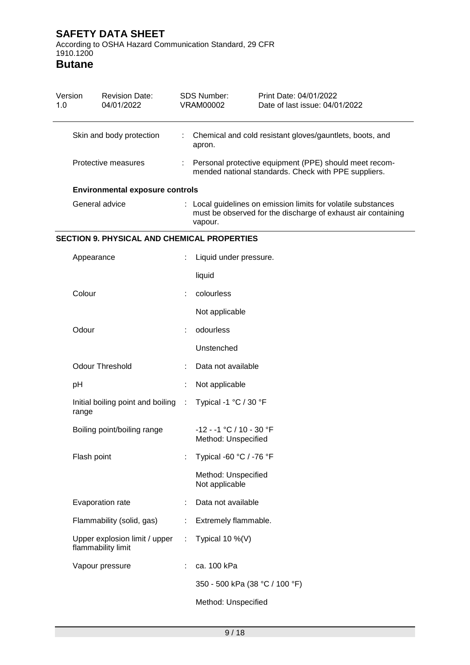According to OSHA Hazard Communication Standard, 29 CFR 1910.1200

| Version<br>1.0 | <b>Revision Date:</b><br>04/01/2022                 |                      | <b>SDS Number:</b><br><b>VRAM00002</b>                                                                                                 | Print Date: 04/01/2022<br>Date of last issue: 04/01/2022 |  |  |  |
|----------------|-----------------------------------------------------|----------------------|----------------------------------------------------------------------------------------------------------------------------------------|----------------------------------------------------------|--|--|--|
|                | Skin and body protection                            |                      | Chemical and cold resistant gloves/gauntlets, boots, and<br>apron.                                                                     |                                                          |  |  |  |
|                | Protective measures                                 |                      | Personal protective equipment (PPE) should meet recom-<br>mended national standards. Check with PPE suppliers.                         |                                                          |  |  |  |
|                | <b>Environmental exposure controls</b>              |                      |                                                                                                                                        |                                                          |  |  |  |
|                | General advice                                      |                      | Local guidelines on emission limits for volatile substances<br>must be observed for the discharge of exhaust air containing<br>vapour. |                                                          |  |  |  |
|                | <b>SECTION 9. PHYSICAL AND CHEMICAL PROPERTIES</b>  |                      |                                                                                                                                        |                                                          |  |  |  |
|                | Appearance                                          |                      | Liquid under pressure.                                                                                                                 |                                                          |  |  |  |
|                |                                                     |                      | liquid                                                                                                                                 |                                                          |  |  |  |
| Colour         |                                                     | t                    | colourless                                                                                                                             |                                                          |  |  |  |
|                |                                                     |                      | Not applicable                                                                                                                         |                                                          |  |  |  |
| Odour          |                                                     |                      | odourless                                                                                                                              |                                                          |  |  |  |
|                |                                                     |                      | Unstenched                                                                                                                             |                                                          |  |  |  |
|                | <b>Odour Threshold</b>                              |                      | Data not available                                                                                                                     |                                                          |  |  |  |
| pH             |                                                     |                      | Not applicable                                                                                                                         |                                                          |  |  |  |
| range          | Initial boiling point and boiling                   | ÷                    | Typical -1 °C / 30 °F                                                                                                                  |                                                          |  |  |  |
|                | Boiling point/boiling range                         |                      | -12 - -1 °C / 10 - 30 °F<br>Method: Unspecified                                                                                        |                                                          |  |  |  |
|                | Flash point                                         |                      | Typical -60 °C / -76 °F                                                                                                                |                                                          |  |  |  |
|                |                                                     |                      | Method: Unspecified<br>Not applicable                                                                                                  |                                                          |  |  |  |
|                | Evaporation rate                                    |                      | Data not available                                                                                                                     |                                                          |  |  |  |
|                | Flammability (solid, gas)                           | Extremely flammable. |                                                                                                                                        |                                                          |  |  |  |
|                | Upper explosion limit / upper<br>flammability limit |                      | Typical 10 %(V)                                                                                                                        |                                                          |  |  |  |
|                | Vapour pressure                                     |                      | ca. 100 kPa                                                                                                                            |                                                          |  |  |  |
|                |                                                     |                      |                                                                                                                                        | 350 - 500 kPa (38 °C / 100 °F)                           |  |  |  |
|                |                                                     |                      | Method: Unspecified                                                                                                                    |                                                          |  |  |  |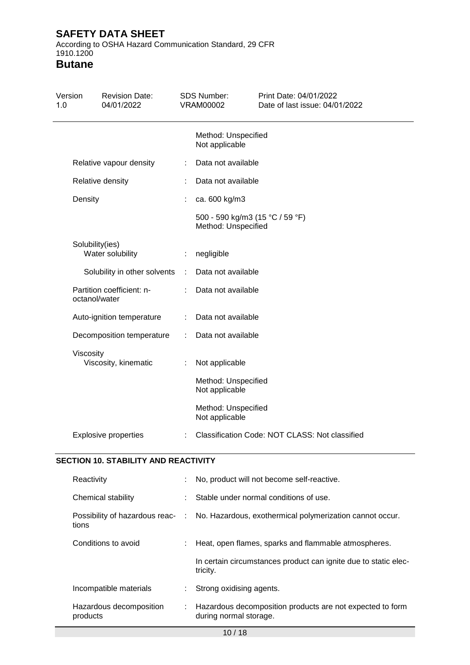According to OSHA Hazard Communication Standard, 29 CFR 1910.1200

| Version<br>1.0 |                 | <b>Revision Date:</b><br>04/01/2022         |           | SDS Number:<br><b>VRAM00002</b>                        | Print Date: 04/01/2022<br>Date of last issue: 04/01/2022 |
|----------------|-----------------|---------------------------------------------|-----------|--------------------------------------------------------|----------------------------------------------------------|
|                |                 |                                             |           | Method: Unspecified<br>Not applicable                  |                                                          |
|                |                 | Relative vapour density                     |           | Data not available                                     |                                                          |
|                |                 | Relative density                            |           | Data not available                                     |                                                          |
|                | Density         |                                             |           | ca. 600 kg/m3                                          |                                                          |
|                |                 |                                             |           | 500 - 590 kg/m3 (15 °C / 59 °F)<br>Method: Unspecified |                                                          |
|                | Solubility(ies) | Water solubility                            | ÷.        | negligible                                             |                                                          |
|                |                 | Solubility in other solvents                | $\sim$ 1. | Data not available                                     |                                                          |
|                | octanol/water   | Partition coefficient: n-                   |           | Data not available                                     |                                                          |
|                |                 | Auto-ignition temperature                   | ÷.        | Data not available                                     |                                                          |
|                |                 | Decomposition temperature                   | ÷         | Data not available                                     |                                                          |
|                | Viscosity       | Viscosity, kinematic                        | ÷         | Not applicable                                         |                                                          |
|                |                 |                                             |           | Method: Unspecified<br>Not applicable                  |                                                          |
|                |                 |                                             |           | Method: Unspecified<br>Not applicable                  |                                                          |
|                |                 | <b>Explosive properties</b>                 |           |                                                        | Classification Code: NOT CLASS: Not classified           |
|                |                 | <b>SECTION 10. STABILITY AND REACTIVITY</b> |           |                                                        |                                                          |
|                | Reactivity      |                                             |           |                                                        | No, product will not become self-reactive.               |
|                |                 | Chemical stability                          |           |                                                        | Stable under normal conditions of use.                   |
|                | tions           | Possibility of hazardous reac-              | $\sim$ 1. |                                                        | No. Hazardous, exothermical polymerization cannot occur. |
|                |                 | Conditions to avoid                         |           |                                                        | Heat, open flames, sparks and flammable atmospheres.     |

| Incompatible materials |  | Strong oxidising agents. |
|------------------------|--|--------------------------|
|------------------------|--|--------------------------|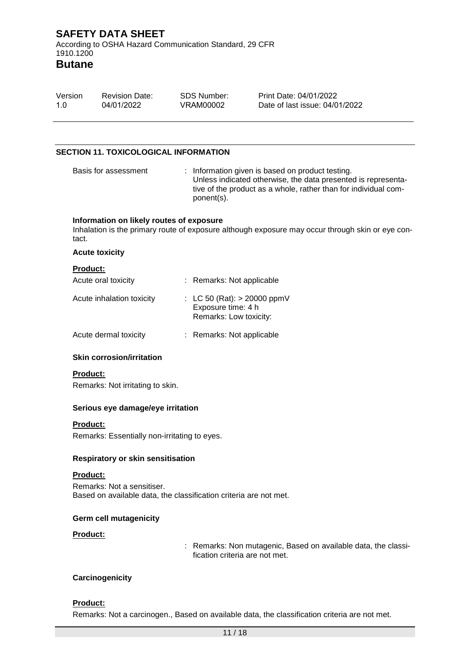According to OSHA Hazard Communication Standard, 29 CFR 1910.1200

### **Butane**

| Version<br>1.0  | <b>Revision Date:</b><br>04/01/2022          | <b>SDS Number:</b><br>VRAM00002                                               | Print Date: 04/01/2022<br>Date of last issue: 04/01/2022                                                                                                                             |
|-----------------|----------------------------------------------|-------------------------------------------------------------------------------|--------------------------------------------------------------------------------------------------------------------------------------------------------------------------------------|
|                 |                                              |                                                                               |                                                                                                                                                                                      |
|                 | <b>SECTION 11. TOXICOLOGICAL INFORMATION</b> |                                                                               |                                                                                                                                                                                      |
|                 | Basis for assessment                         | ponent(s).                                                                    | : Information given is based on product testing.<br>Unless indicated otherwise, the data presented is representa-<br>tive of the product as a whole, rather than for individual com- |
| tact.           | Information on likely routes of exposure     |                                                                               | Inhalation is the primary route of exposure although exposure may occur through skin or eye con-                                                                                     |
|                 | <b>Acute toxicity</b>                        |                                                                               |                                                                                                                                                                                      |
| <b>Product:</b> | Acute oral toxicity                          | : Remarks: Not applicable                                                     |                                                                                                                                                                                      |
|                 | Acute inhalation toxicity                    | : LC 50 (Rat): $> 20000$ ppmV<br>Exposure time: 4 h<br>Remarks: Low toxicity: |                                                                                                                                                                                      |

| Acute dermal toxicity | Remarks: Not applicable |
|-----------------------|-------------------------|
|                       |                         |

### **Skin corrosion/irritation**

### **Product:**

Remarks: Not irritating to skin.

### **Serious eye damage/eye irritation**

### **Product:**

Remarks: Essentially non-irritating to eyes.

### **Respiratory or skin sensitisation**

### **Product:**

Remarks: Not a sensitiser. Based on available data, the classification criteria are not met.

### **Germ cell mutagenicity**

### **Product:**

: Remarks: Non mutagenic, Based on available data, the classification criteria are not met.

### **Carcinogenicity**

### **Product:**

Remarks: Not a carcinogen., Based on available data, the classification criteria are not met.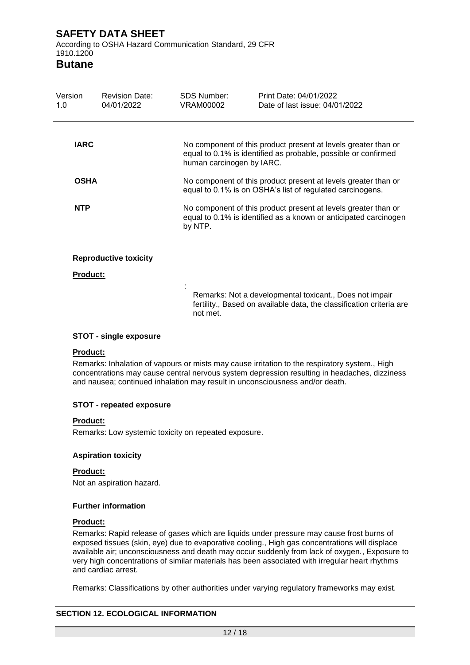According to OSHA Hazard Communication Standard, 29 CFR 1910.1200

### **Butane**

| Version<br>1.0  | <b>Revision Date:</b><br>04/01/2022 | SDS Number:<br>VRAM00002  | Print Date: 04/01/2022<br>Date of last issue: 04/01/2022                                                                           |
|-----------------|-------------------------------------|---------------------------|------------------------------------------------------------------------------------------------------------------------------------|
| <b>IARC</b>     |                                     | human carcinogen by IARC. | No component of this product present at levels greater than or<br>equal to 0.1% is identified as probable, possible or confirmed   |
| <b>OSHA</b>     |                                     |                           | No component of this product present at levels greater than or<br>equal to 0.1% is on OSHA's list of regulated carcinogens.        |
| <b>NTP</b>      |                                     | by NTP.                   | No component of this product present at levels greater than or<br>equal to 0.1% is identified as a known or anticipated carcinogen |
| <b>Product:</b> | <b>Reproductive toxicity</b>        |                           |                                                                                                                                    |
|                 |                                     | not met.                  | Remarks: Not a developmental toxicant., Does not impair<br>fertility., Based on available data, the classification criteria are    |

### **STOT - single exposure**

### **Product:**

Remarks: Inhalation of vapours or mists may cause irritation to the respiratory system., High concentrations may cause central nervous system depression resulting in headaches, dizziness and nausea; continued inhalation may result in unconsciousness and/or death.

### **STOT - repeated exposure**

### **Product:**

Remarks: Low systemic toxicity on repeated exposure.

### **Aspiration toxicity**

### **Product:**

Not an aspiration hazard.

### **Further information**

### **Product:**

Remarks: Rapid release of gases which are liquids under pressure may cause frost burns of exposed tissues (skin, eye) due to evaporative cooling., High gas concentrations will displace available air; unconsciousness and death may occur suddenly from lack of oxygen., Exposure to very high concentrations of similar materials has been associated with irregular heart rhythms and cardiac arrest.

Remarks: Classifications by other authorities under varying regulatory frameworks may exist.

### **SECTION 12. ECOLOGICAL INFORMATION**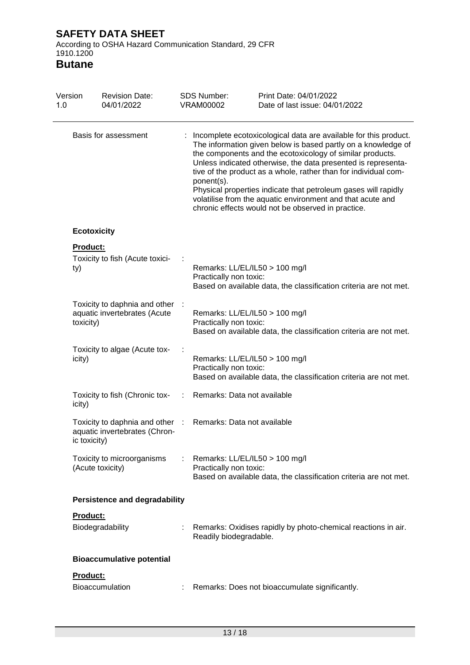According to OSHA Hazard Communication Standard, 29 CFR 1910.1200

| Version<br>1.0 | <b>Revision Date:</b><br>04/01/2022                                              |   | <b>SDS Number:</b><br><b>VRAM00002</b>                       | Print Date: 04/01/2022<br>Date of last issue: 04/01/2022                                                                                                                                                                                                                                                                                                                                                                                                                                                                 |
|----------------|----------------------------------------------------------------------------------|---|--------------------------------------------------------------|--------------------------------------------------------------------------------------------------------------------------------------------------------------------------------------------------------------------------------------------------------------------------------------------------------------------------------------------------------------------------------------------------------------------------------------------------------------------------------------------------------------------------|
|                | Basis for assessment                                                             |   | ponent(s).                                                   | Incomplete ecotoxicological data are available for this product.<br>The information given below is based partly on a knowledge of<br>the components and the ecotoxicology of similar products.<br>Unless indicated otherwise, the data presented is representa-<br>tive of the product as a whole, rather than for individual com-<br>Physical properties indicate that petroleum gases will rapidly<br>volatilise from the aquatic environment and that acute and<br>chronic effects would not be observed in practice. |
|                | <b>Ecotoxicity</b>                                                               |   |                                                              |                                                                                                                                                                                                                                                                                                                                                                                                                                                                                                                          |
| ty)            | <b>Product:</b><br>Toxicity to fish (Acute toxici-                               |   | Remarks: LL/EL/IL50 > 100 mg/l<br>Practically non toxic:     | Based on available data, the classification criteria are not met.                                                                                                                                                                                                                                                                                                                                                                                                                                                        |
| toxicity)      | Toxicity to daphnia and other<br>aquatic invertebrates (Acute                    |   | Remarks: LL/EL/IL50 > 100 mg/l<br>Practically non toxic:     | Based on available data, the classification criteria are not met.                                                                                                                                                                                                                                                                                                                                                                                                                                                        |
| icity)         | Toxicity to algae (Acute tox-                                                    |   | Remarks: LL/EL/IL50 > 100 mg/l<br>Practically non toxic:     | Based on available data, the classification criteria are not met.                                                                                                                                                                                                                                                                                                                                                                                                                                                        |
| icity)         | Toxicity to fish (Chronic tox-                                                   | ÷ | Remarks: Data not available                                  |                                                                                                                                                                                                                                                                                                                                                                                                                                                                                                                          |
|                | Toxicity to daphnia and other :<br>aquatic invertebrates (Chron-<br>ic toxicity) |   | Remarks: Data not available                                  |                                                                                                                                                                                                                                                                                                                                                                                                                                                                                                                          |
|                | Toxicity to microorganisms<br>(Acute toxicity)                                   |   | : Remarks: $LL/EL/IL50 > 100$ mg/l<br>Practically non toxic: | Based on available data, the classification criteria are not met.                                                                                                                                                                                                                                                                                                                                                                                                                                                        |
|                | <b>Persistence and degradability</b>                                             |   |                                                              |                                                                                                                                                                                                                                                                                                                                                                                                                                                                                                                          |
|                | Product:<br>Biodegradability                                                     |   | Readily biodegradable.                                       | Remarks: Oxidises rapidly by photo-chemical reactions in air.                                                                                                                                                                                                                                                                                                                                                                                                                                                            |
|                | <b>Bioaccumulative potential</b>                                                 |   |                                                              |                                                                                                                                                                                                                                                                                                                                                                                                                                                                                                                          |
|                | Product:<br>Bioaccumulation                                                      |   |                                                              | Remarks: Does not bioaccumulate significantly.                                                                                                                                                                                                                                                                                                                                                                                                                                                                           |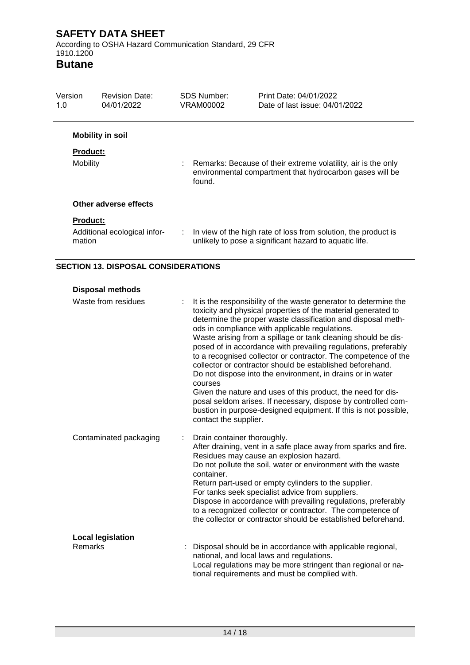According to OSHA Hazard Communication Standard, 29 CFR 1910.1200

**Butane**

| Version<br>1.0            | <b>Revision Date:</b><br>04/01/2022 | <b>SDS Number:</b><br>VRAM00002                                                                                                     | Print Date: 04/01/2022<br>Date of last issue: 04/01/2022                                                                   |
|---------------------------|-------------------------------------|-------------------------------------------------------------------------------------------------------------------------------------|----------------------------------------------------------------------------------------------------------------------------|
|                           | <b>Mobility in soil</b>             |                                                                                                                                     |                                                                                                                            |
| <b>Product:</b>           |                                     |                                                                                                                                     |                                                                                                                            |
| <b>Mobility</b>           |                                     | Remarks: Because of their extreme volatility, air is the only<br>environmental compartment that hydrocarbon gases will be<br>found. |                                                                                                                            |
|                           | Other adverse effects               |                                                                                                                                     |                                                                                                                            |
| <b>Product:</b><br>mation | Additional ecological infor-        |                                                                                                                                     | : In view of the high rate of loss from solution, the product is<br>unlikely to pose a significant hazard to aquatic life. |

 $\overline{\phantom{0}}$ 

### **SECTION 13. DISPOSAL CONSIDERATIONS**

| <b>Disposal methods</b> |
|-------------------------|
| Waato from rooiduon     |

| Waste from residues<br>t            | It is the responsibility of the waste generator to determine the<br>toxicity and physical properties of the material generated to<br>determine the proper waste classification and disposal meth-<br>ods in compliance with applicable regulations.<br>Waste arising from a spillage or tank cleaning should be dis-<br>posed of in accordance with prevailing regulations, preferably<br>to a recognised collector or contractor. The competence of the<br>collector or contractor should be established beforehand.<br>Do not dispose into the environment, in drains or in water<br>courses<br>Given the nature and uses of this product, the need for dis-<br>posal seldom arises. If necessary, dispose by controlled com-<br>bustion in purpose-designed equipment. If this is not possible,<br>contact the supplier. |
|-------------------------------------|-----------------------------------------------------------------------------------------------------------------------------------------------------------------------------------------------------------------------------------------------------------------------------------------------------------------------------------------------------------------------------------------------------------------------------------------------------------------------------------------------------------------------------------------------------------------------------------------------------------------------------------------------------------------------------------------------------------------------------------------------------------------------------------------------------------------------------|
| Contaminated packaging              | Drain container thoroughly.<br>After draining, vent in a safe place away from sparks and fire.<br>Residues may cause an explosion hazard.<br>Do not pollute the soil, water or environment with the waste<br>container.<br>Return part-used or empty cylinders to the supplier.<br>For tanks seek specialist advice from suppliers.<br>Dispose in accordance with prevailing regulations, preferably<br>to a recognized collector or contractor. The competence of<br>the collector or contractor should be established beforehand.                                                                                                                                                                                                                                                                                         |
| <b>Local legislation</b><br>Remarks | Disposal should be in accordance with applicable regional,<br>national, and local laws and regulations.<br>Local regulations may be more stringent than regional or na-<br>tional requirements and must be complied with.                                                                                                                                                                                                                                                                                                                                                                                                                                                                                                                                                                                                   |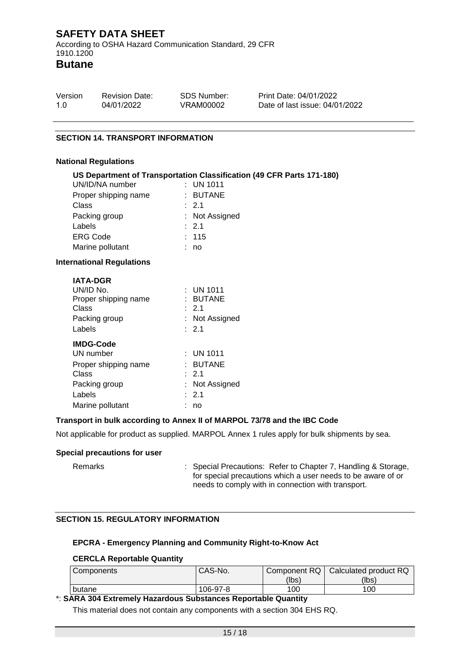According to OSHA Hazard Communication Standard, 29 CFR 1910.1200

**Butane**

| Version | <b>Revision Date:</b> | SDS Number: | Print Date: 04/01/2022         |
|---------|-----------------------|-------------|--------------------------------|
| 1.O     | 04/01/2022            | VRAM00002   | Date of last issue: 04/01/2022 |

### **SECTION 14. TRANSPORT INFORMATION**

### **National Regulations**

|                                  | US Department of Transportation Classification (49 CFR Parts 171-180) |
|----------------------------------|-----------------------------------------------------------------------|
| UN/ID/NA number                  | $\therefore$ UN 1011                                                  |
| Proper shipping name             | : BUTANE                                                              |
| Class                            | $\therefore$ 2.1                                                      |
| Packing group                    | : Not Assigned                                                        |
| Labels                           | : 2.1                                                                 |
| <b>ERG Code</b>                  | : 115                                                                 |
| Marine pollutant                 | : no                                                                  |
| <b>International Regulations</b> |                                                                       |
| <b>IATA-DGR</b>                  |                                                                       |
| UN/ID No.                        | $\therefore$ UN 1011                                                  |
| Proper shipping name             | : BUTANE                                                              |
| <b>Class</b>                     | $\therefore$ 2.1                                                      |
| Packing group                    | : Not Assigned                                                        |
| Labels                           | : 2.1                                                                 |
| <b>IMDG-Code</b>                 |                                                                       |
| UN number                        | $:$ UN 1011                                                           |
| Proper shipping name             | : BUTANE                                                              |
| Class                            | $\therefore$ 2.1                                                      |
| Packing group                    | Not Assigned                                                          |

### **Transport in bulk according to Annex II of MARPOL 73/78 and the IBC Code**

Not applicable for product as supplied. MARPOL Annex 1 rules apply for bulk shipments by sea.

### **Special precautions for user**

Remarks : Special Precautions: Refer to Chapter 7, Handling & Storage, for special precautions which a user needs to be aware of or needs to comply with in connection with transport.

### **SECTION 15. REGULATORY INFORMATION**

Labels : 2.1 Marine pollutant : no

### **EPCRA - Emergency Planning and Community Right-to-Know Act**

### **CERCLA Reportable Quantity**

| <b>Components</b> | CAS-No.  |       | Component RQ   Calculated product RQ |
|-------------------|----------|-------|--------------------------------------|
|                   |          | (lbsˈ | (lbs)                                |
| butane            | 106-97-8 | 100   | 100                                  |

### \*: **SARA 304 Extremely Hazardous Substances Reportable Quantity**

This material does not contain any components with a section 304 EHS RQ.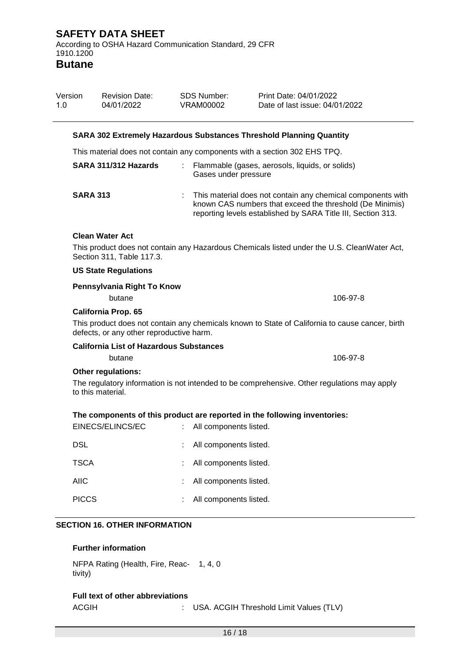**Butane**

| Version<br>1.0       | <b>Revision Date:</b><br>04/01/2022            |    | <b>SDS Number:</b><br><b>VRAM00002</b> | Print Date: 04/01/2022<br>Date of last issue: 04/01/2022                                                                                                                                  |
|----------------------|------------------------------------------------|----|----------------------------------------|-------------------------------------------------------------------------------------------------------------------------------------------------------------------------------------------|
|                      |                                                |    |                                        | <b>SARA 302 Extremely Hazardous Substances Threshold Planning Quantity</b>                                                                                                                |
|                      |                                                |    |                                        | This material does not contain any components with a section 302 EHS TPQ.                                                                                                                 |
| SARA 311/312 Hazards |                                                | ÷. | Gases under pressure                   | Flammable (gases, aerosols, liquids, or solids)                                                                                                                                           |
|                      | <b>SARA 313</b>                                |    |                                        | : This material does not contain any chemical components with<br>known CAS numbers that exceed the threshold (De Minimis)<br>reporting levels established by SARA Title III, Section 313. |
|                      | <b>Clean Water Act</b>                         |    |                                        |                                                                                                                                                                                           |
|                      | Section 311, Table 117.3.                      |    |                                        | This product does not contain any Hazardous Chemicals listed under the U.S. CleanWater Act,                                                                                               |
|                      | <b>US State Regulations</b>                    |    |                                        |                                                                                                                                                                                           |
|                      | Pennsylvania Right To Know<br>butane           |    |                                        | 106-97-8                                                                                                                                                                                  |
|                      | <b>California Prop. 65</b>                     |    |                                        |                                                                                                                                                                                           |
|                      | defects, or any other reproductive harm.       |    |                                        | This product does not contain any chemicals known to State of California to cause cancer, birth                                                                                           |
|                      | <b>California List of Hazardous Substances</b> |    |                                        |                                                                                                                                                                                           |
|                      | butane                                         |    |                                        | 106-97-8                                                                                                                                                                                  |
|                      | <b>Other regulations:</b><br>to this material. |    |                                        | The regulatory information is not intended to be comprehensive. Other regulations may apply                                                                                               |
|                      |                                                |    |                                        | The components of this product are reported in the following inventories:                                                                                                                 |
|                      | EINECS/ELINCS/EC                               |    | : All components listed.               |                                                                                                                                                                                           |
| <b>DSL</b>           |                                                |    | All components listed.                 |                                                                                                                                                                                           |
| <b>TSCA</b>          |                                                |    | All components listed.                 |                                                                                                                                                                                           |
| <b>AIIC</b>          |                                                |    | All components listed.                 |                                                                                                                                                                                           |
| <b>PICCS</b>         |                                                |    | All components listed.                 |                                                                                                                                                                                           |
|                      | <b>SECTION 16. OTHER INFORMATION</b>           |    |                                        |                                                                                                                                                                                           |

### **Further information**

NFPA Rating (Health, Fire, Reac-1, 4, 0 tivity)

### **Full text of other abbreviations**

ACGIH : USA. ACGIH Threshold Limit Values (TLV)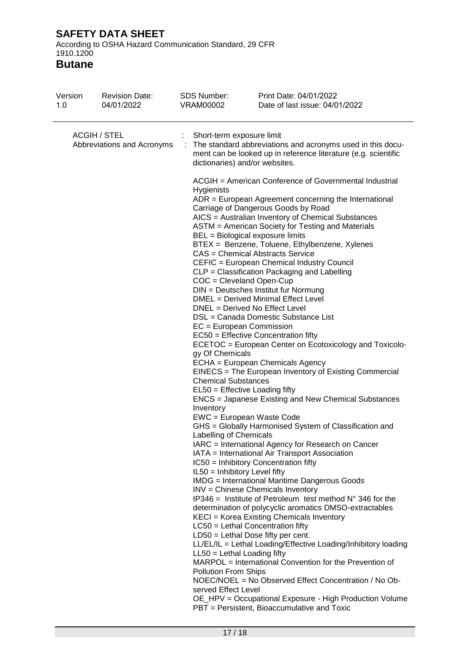According to OSHA Hazard Communication Standard, 29 CFR 1910.1200

| Version<br>1.0                                    | <b>Revision Date:</b><br>04/01/2022 | <b>SDS Number:</b><br>VRAM00002                                                                                                                                                                                                                                                                                                                                                                                           | Print Date: 04/01/2022<br>Date of last issue: 04/01/2022                                                                                                                                                                                                                                                                                                                                                                                                                                                                                                                                                                                                                                                                                                                                                                                                                                                                                                                                                                                                                                                                                                                                                                                                                                                                                                                                                                                                                                                                                                                                                                                                                                                            |  |  |  |  |
|---------------------------------------------------|-------------------------------------|---------------------------------------------------------------------------------------------------------------------------------------------------------------------------------------------------------------------------------------------------------------------------------------------------------------------------------------------------------------------------------------------------------------------------|---------------------------------------------------------------------------------------------------------------------------------------------------------------------------------------------------------------------------------------------------------------------------------------------------------------------------------------------------------------------------------------------------------------------------------------------------------------------------------------------------------------------------------------------------------------------------------------------------------------------------------------------------------------------------------------------------------------------------------------------------------------------------------------------------------------------------------------------------------------------------------------------------------------------------------------------------------------------------------------------------------------------------------------------------------------------------------------------------------------------------------------------------------------------------------------------------------------------------------------------------------------------------------------------------------------------------------------------------------------------------------------------------------------------------------------------------------------------------------------------------------------------------------------------------------------------------------------------------------------------------------------------------------------------------------------------------------------------|--|--|--|--|
| <b>ACGIH / STEL</b><br>Abbreviations and Acronyms |                                     | Short-term exposure limit<br>: The standard abbreviations and acronyms used in this docu-<br>ment can be looked up in reference literature (e.g. scientific<br>dictionaries) and/or websites.                                                                                                                                                                                                                             |                                                                                                                                                                                                                                                                                                                                                                                                                                                                                                                                                                                                                                                                                                                                                                                                                                                                                                                                                                                                                                                                                                                                                                                                                                                                                                                                                                                                                                                                                                                                                                                                                                                                                                                     |  |  |  |  |
|                                                   |                                     | Hygienists<br>BEL = Biological exposure limits<br>COC = Cleveland Open-Cup<br>DNEL = Derived No Effect Level<br>$EC = European Commission$<br>gy Of Chemicals<br><b>Chemical Substances</b><br>EL50 = Effective Loading fifty<br>Inventory<br>EWC = European Waste Code<br>Labelling of Chemicals<br>IL50 = Inhibitory Level fifty<br>$LL50 = Lethal$ Loading fifty<br><b>Pollution From Ships</b><br>served Effect Level | ACGIH = American Conference of Governmental Industrial<br>$ADR = European Agreement concerning the International$<br>Carriage of Dangerous Goods by Road<br>AICS = Australian Inventory of Chemical Substances<br>ASTM = American Society for Testing and Materials<br>BTEX = Benzene, Toluene, Ethylbenzene, Xylenes<br>CAS = Chemical Abstracts Service<br>CEFIC = European Chemical Industry Council<br>CLP = Classification Packaging and Labelling<br>DIN = Deutsches Institut fur Normung<br>DMEL = Derived Minimal Effect Level<br>DSL = Canada Domestic Substance List<br>EC50 = Effective Concentration fifty<br>ECETOC = European Center on Ecotoxicology and Toxicolo-<br>ECHA = European Chemicals Agency<br>EINECS = The European Inventory of Existing Commercial<br><b>ENCS</b> = Japanese Existing and New Chemical Substances<br>GHS = Globally Harmonised System of Classification and<br>IARC = International Agency for Research on Cancer<br>IATA = International Air Transport Association<br>IC50 = Inhibitory Concentration fifty<br><b>IMDG</b> = International Maritime Dangerous Goods<br>INV = Chinese Chemicals Inventory<br>IP346 = Institute of Petroleum test method $N^{\circ}$ 346 for the<br>determination of polycyclic aromatics DMSO-extractables<br>KECI = Korea Existing Chemicals Inventory<br>$LC50$ = Lethal Concentration fifty<br>$LD50 = Lethal Does fifty per cent.$<br>LL/EL/IL = Lethal Loading/Effective Loading/Inhibitory loading<br>MARPOL = International Convention for the Prevention of<br>NOEC/NOEL = No Observed Effect Concentration / No Ob-<br>OE_HPV = Occupational Exposure - High Production Volume<br>PBT = Persistent, Bioaccumulative and Toxic |  |  |  |  |